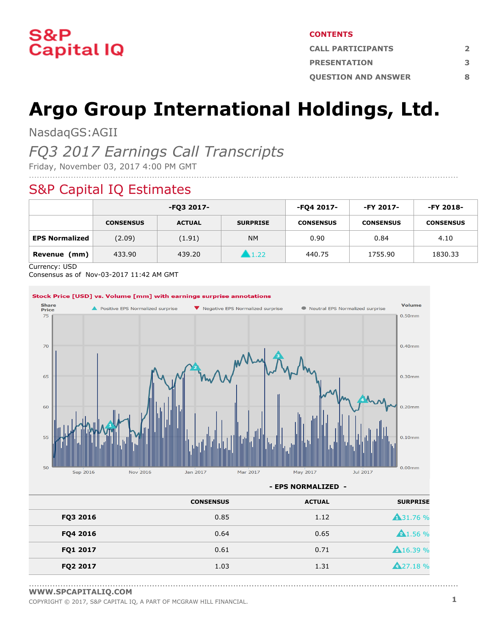

#### **CONTENTS**

| <b>CALL PARTICIPANTS</b>   |   |  |
|----------------------------|---|--|
| <b>PRESENTATION</b>        | З |  |
| <b>OUESTION AND ANSWER</b> | Ջ |  |

# **Argo Group International Holdings, Ltd.**

NasdaqGS:AGII

## *FQ3 2017 Earnings Call Transcripts*

Friday, November 03, 2017 4:00 PM GMT

### S&P Capital IQ Estimates

|                       | -FQ3 2017-       |               | -FQ4 2017-      | -FY 2017-        | -FY 2018-        |                  |
|-----------------------|------------------|---------------|-----------------|------------------|------------------|------------------|
|                       | <b>CONSENSUS</b> | <b>ACTUAL</b> | <b>SURPRISE</b> | <b>CONSENSUS</b> | <b>CONSENSUS</b> | <b>CONSENSUS</b> |
| <b>EPS Normalized</b> | (2.09)           | (1.91)        | <b>NM</b>       | 0.90             | 0.84             | 4.10             |
| Revenue (mm)          | 433.90           | 439.20        | 1.22            | 440.75           | 1755.90          | 1830.33          |

....................................................................................................................................................................

Currency: USD

Consensus as of Nov-03-2017 11:42 AM GMT



**- EPS NORMALIZED -**

....................................................................................................................................................................

|          | <b>CONSENSUS</b> | <b>ACTUAL</b> | <b>SURPRISE</b>  |
|----------|------------------|---------------|------------------|
| FQ3 2016 | 0.85             | 1.12          | <b>431.76 %</b>  |
| FQ4 2016 | 0.64             | 0.65          | A1.56%           |
| FQ1 2017 | 0.61             | 0.71          | <b>A</b> 16.39 % |
| FQ2 2017 | 1.03             | 1.31          | <b>A</b> 27.18 % |

**[WWW.SPCAPITALIQ.COM](https://www.capitaliq.com/home.aspx)**

COPYRIGHT © 2017, S&P CAPITAL IQ, <sup>A</sup> PART OF MCGRAW HILL FINANCIAL. **1**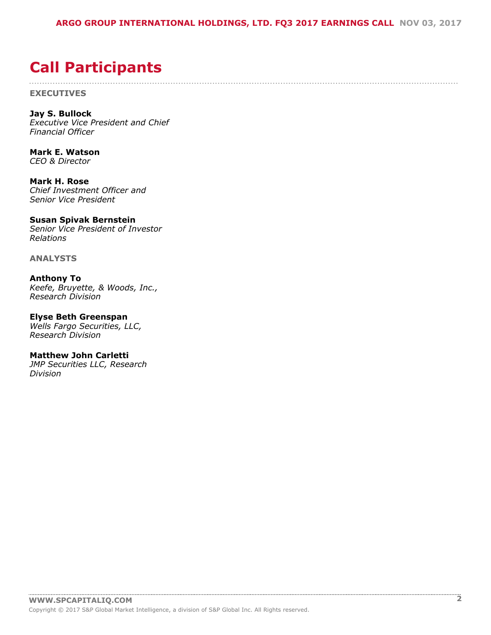....................................................................................................................................................................

## <span id="page-1-0"></span>**Call Participants**

**EXECUTIVES**

**Jay S. Bullock** *Executive Vice President and Chief Financial Officer*

**Mark E. Watson** *CEO & Director*

**Mark H. Rose** *Chief Investment Officer and Senior Vice President*

### **Susan Spivak Bernstein**

*Senior Vice President of Investor Relations*

**ANALYSTS**

**Anthony To** *Keefe, Bruyette, & Woods, Inc., Research Division*

**Elyse Beth Greenspan** *Wells Fargo Securities, LLC, Research Division*

#### **Matthew John Carletti** *JMP Securities LLC, Research*

*Division*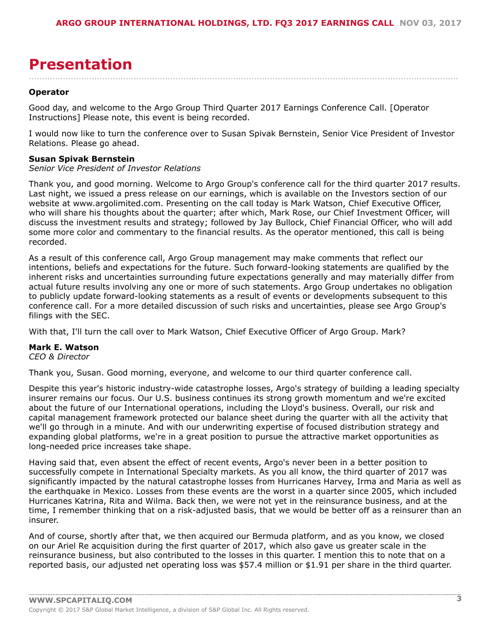## <span id="page-2-0"></span>**Presentation**

#### **Operator**

Good day, and welcome to the Argo Group Third Quarter 2017 Earnings Conference Call. [Operator Instructions] Please note, this event is being recorded.

I would now like to turn the conference over to Susan Spivak Bernstein, Senior Vice President of Investor Relations. Please go ahead.

....................................................................................................................................................................

#### **Susan Spivak Bernstein**

#### *Senior Vice President of Investor Relations*

Thank you, and good morning. Welcome to Argo Group's conference call for the third quarter 2017 results. Last night, we issued a press release on our earnings, which is available on the Investors section of our website at www.argolimited.com. Presenting on the call today is Mark Watson, Chief Executive Officer, who will share his thoughts about the quarter; after which, Mark Rose, our Chief Investment Officer, will discuss the investment results and strategy; followed by Jay Bullock, Chief Financial Officer, who will add some more color and commentary to the financial results. As the operator mentioned, this call is being recorded.

As a result of this conference call, Argo Group management may make comments that reflect our intentions, beliefs and expectations for the future. Such forward-looking statements are qualified by the inherent risks and uncertainties surrounding future expectations generally and may materially differ from actual future results involving any one or more of such statements. Argo Group undertakes no obligation to publicly update forward-looking statements as a result of events or developments subsequent to this conference call. For a more detailed discussion of such risks and uncertainties, please see Argo Group's filings with the SEC.

With that, I'll turn the call over to Mark Watson, Chief Executive Officer of Argo Group. Mark?

#### **Mark E. Watson**

#### *CEO & Director*

Thank you, Susan. Good morning, everyone, and welcome to our third quarter conference call.

Despite this year's historic industry-wide catastrophe losses, Argo's strategy of building a leading specialty insurer remains our focus. Our U.S. business continues its strong growth momentum and we're excited about the future of our International operations, including the Lloyd's business. Overall, our risk and capital management framework protected our balance sheet during the quarter with all the activity that we'll go through in a minute. And with our underwriting expertise of focused distribution strategy and expanding global platforms, we're in a great position to pursue the attractive market opportunities as long-needed price increases take shape.

Having said that, even absent the effect of recent events, Argo's never been in a better position to successfully compete in International Specialty markets. As you all know, the third quarter of 2017 was significantly impacted by the natural catastrophe losses from Hurricanes Harvey, Irma and Maria as well as the earthquake in Mexico. Losses from these events are the worst in a quarter since 2005, which included Hurricanes Katrina, Rita and Wilma. Back then, we were not yet in the reinsurance business, and at the time, I remember thinking that on a risk-adjusted basis, that we would be better off as a reinsurer than an insurer.

And of course, shortly after that, we then acquired our Bermuda platform, and as you know, we closed on our Ariel Re acquisition during the first quarter of 2017, which also gave us greater scale in the reinsurance business, but also contributed to the losses in this quarter. I mention this to note that on a reported basis, our adjusted net operating loss was \$57.4 million or \$1.91 per share in the third quarter.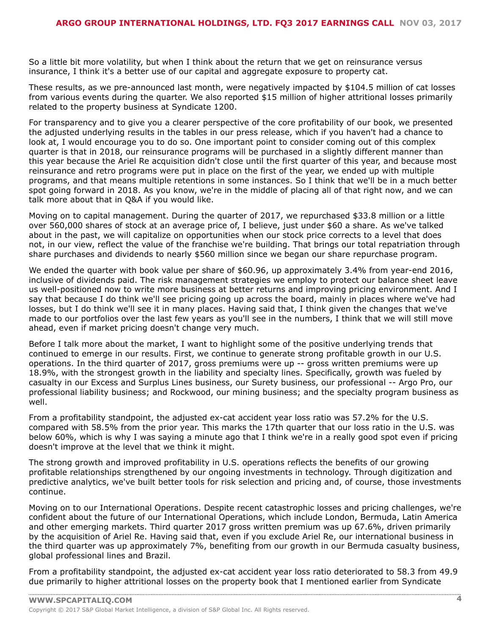So a little bit more volatility, but when I think about the return that we get on reinsurance versus insurance, I think it's a better use of our capital and aggregate exposure to property cat.

These results, as we pre-announced last month, were negatively impacted by \$104.5 million of cat losses from various events during the quarter. We also reported \$15 million of higher attritional losses primarily related to the property business at Syndicate 1200.

For transparency and to give you a clearer perspective of the core profitability of our book, we presented the adjusted underlying results in the tables in our press release, which if you haven't had a chance to look at, I would encourage you to do so. One important point to consider coming out of this complex quarter is that in 2018, our reinsurance programs will be purchased in a slightly different manner than this year because the Ariel Re acquisition didn't close until the first quarter of this year, and because most reinsurance and retro programs were put in place on the first of the year, we ended up with multiple programs, and that means multiple retentions in some instances. So I think that we'll be in a much better spot going forward in 2018. As you know, we're in the middle of placing all of that right now, and we can talk more about that in Q&A if you would like.

Moving on to capital management. During the quarter of 2017, we repurchased \$33.8 million or a little over 560,000 shares of stock at an average price of, I believe, just under \$60 a share. As we've talked about in the past, we will capitalize on opportunities when our stock price corrects to a level that does not, in our view, reflect the value of the franchise we're building. That brings our total repatriation through share purchases and dividends to nearly \$560 million since we began our share repurchase program.

We ended the quarter with book value per share of \$60.96, up approximately 3.4% from year-end 2016, inclusive of dividends paid. The risk management strategies we employ to protect our balance sheet leave us well-positioned now to write more business at better returns and improving pricing environment. And I say that because I do think we'll see pricing going up across the board, mainly in places where we've had losses, but I do think we'll see it in many places. Having said that, I think given the changes that we've made to our portfolios over the last few years as you'll see in the numbers, I think that we will still move ahead, even if market pricing doesn't change very much.

Before I talk more about the market, I want to highlight some of the positive underlying trends that continued to emerge in our results. First, we continue to generate strong profitable growth in our U.S. operations. In the third quarter of 2017, gross premiums were up -- gross written premiums were up 18.9%, with the strongest growth in the liability and specialty lines. Specifically, growth was fueled by casualty in our Excess and Surplus Lines business, our Surety business, our professional -- Argo Pro, our professional liability business; and Rockwood, our mining business; and the specialty program business as well.

From a profitability standpoint, the adjusted ex-cat accident year loss ratio was 57.2% for the U.S. compared with 58.5% from the prior year. This marks the 17th quarter that our loss ratio in the U.S. was below 60%, which is why I was saying a minute ago that I think we're in a really good spot even if pricing doesn't improve at the level that we think it might.

The strong growth and improved profitability in U.S. operations reflects the benefits of our growing profitable relationships strengthened by our ongoing investments in technology. Through digitization and predictive analytics, we've built better tools for risk selection and pricing and, of course, those investments continue.

Moving on to our International Operations. Despite recent catastrophic losses and pricing challenges, we're confident about the future of our International Operations, which include London, Bermuda, Latin America and other emerging markets. Third quarter 2017 gross written premium was up 67.6%, driven primarily by the acquisition of Ariel Re. Having said that, even if you exclude Ariel Re, our international business in the third quarter was up approximately 7%, benefiting from our growth in our Bermuda casualty business, global professional lines and Brazil.

From a profitability standpoint, the adjusted ex-cat accident year loss ratio deteriorated to 58.3 from 49.9 due primarily to higher attritional losses on the property book that I mentioned earlier from Syndicate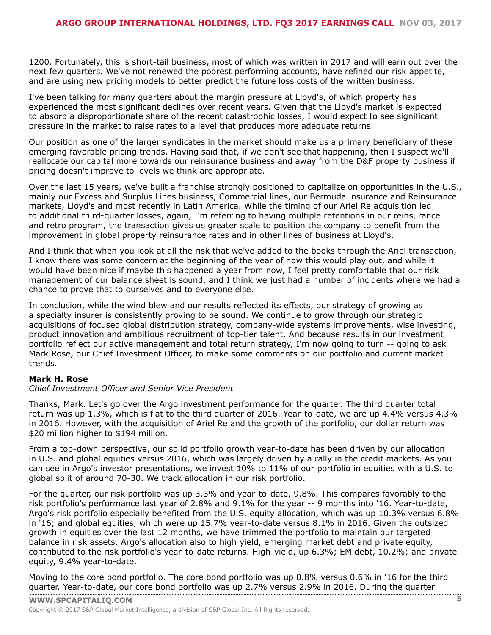1200. Fortunately, this is short-tail business, most of which was written in 2017 and will earn out over the next few quarters. We've not renewed the poorest performing accounts, have refined our risk appetite, and are using new pricing models to better predict the future loss costs of the written business.

I've been talking for many quarters about the margin pressure at Lloyd's, of which property has experienced the most significant declines over recent years. Given that the Lloyd's market is expected to absorb a disproportionate share of the recent catastrophic losses, I would expect to see significant pressure in the market to raise rates to a level that produces more adequate returns.

Our position as one of the larger syndicates in the market should make us a primary beneficiary of these emerging favorable pricing trends. Having said that, if we don't see that happening, then I suspect we'll reallocate our capital more towards our reinsurance business and away from the D&F property business if pricing doesn't improve to levels we think are appropriate.

Over the last 15 years, we've built a franchise strongly positioned to capitalize on opportunities in the U.S., mainly our Excess and Surplus Lines business, Commercial lines, our Bermuda insurance and Reinsurance markets, Lloyd's and most recently in Latin America. While the timing of our Ariel Re acquisition led to additional third-quarter losses, again, I'm referring to having multiple retentions in our reinsurance and retro program, the transaction gives us greater scale to position the company to benefit from the improvement in global property reinsurance rates and in other lines of business at Lloyd's.

And I think that when you look at all the risk that we've added to the books through the Ariel transaction, I know there was some concern at the beginning of the year of how this would play out, and while it would have been nice if maybe this happened a year from now, I feel pretty comfortable that our risk management of our balance sheet is sound, and I think we just had a number of incidents where we had a chance to prove that to ourselves and to everyone else.

In conclusion, while the wind blew and our results reflected its effects, our strategy of growing as a specialty insurer is consistently proving to be sound. We continue to grow through our strategic acquisitions of focused global distribution strategy, company-wide systems improvements, wise investing, product innovation and ambitious recruitment of top-tier talent. And because results in our investment portfolio reflect our active management and total return strategy, I'm now going to turn -- going to ask Mark Rose, our Chief Investment Officer, to make some comments on our portfolio and current market trends.

#### **Mark H. Rose**

#### *Chief Investment Officer and Senior Vice President*

Thanks, Mark. Let's go over the Argo investment performance for the quarter. The third quarter total return was up 1.3%, which is flat to the third quarter of 2016. Year-to-date, we are up 4.4% versus 4.3% in 2016. However, with the acquisition of Ariel Re and the growth of the portfolio, our dollar return was \$20 million higher to \$194 million.

From a top-down perspective, our solid portfolio growth year-to-date has been driven by our allocation in U.S. and global equities versus 2016, which was largely driven by a rally in the credit markets. As you can see in Argo's investor presentations, we invest 10% to 11% of our portfolio in equities with a U.S. to global split of around 70-30. We track allocation in our risk portfolio.

For the quarter, our risk portfolio was up 3.3% and year-to-date, 9.8%. This compares favorably to the risk portfolio's performance last year of 2.8% and 9.1% for the year -- 9 months into '16. Year-to-date, Argo's risk portfolio especially benefited from the U.S. equity allocation, which was up 10.3% versus 6.8% in '16; and global equities, which were up 15.7% year-to-date versus 8.1% in 2016. Given the outsized growth in equities over the last 12 months, we have trimmed the portfolio to maintain our targeted balance in risk assets. Argo's allocation also to high yield, emerging market debt and private equity, contributed to the risk portfolio's year-to-date returns. High-yield, up 6.3%; EM debt, 10.2%; and private equity, 9.4% year-to-date.

Moving to the core bond portfolio. The core bond portfolio was up 0.8% versus 0.6% in '16 for the third quarter. [Year-to-date,](www.capitaliq.com) our core bond portfolio was up 2.7% versus 2.9% in 2016. During the quarter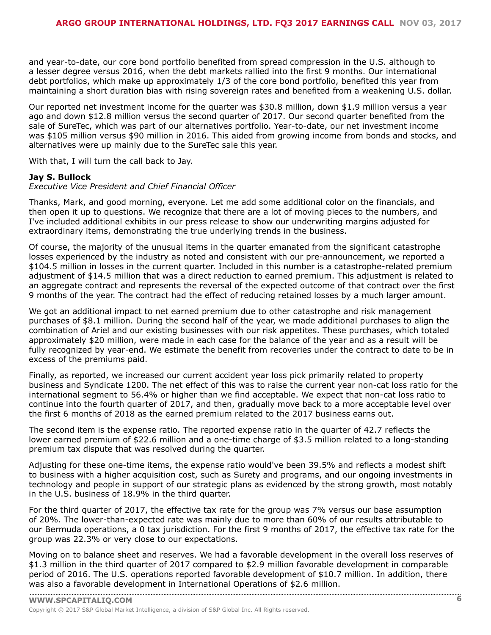and year-to-date, our core bond portfolio benefited from spread compression in the U.S. although to a lesser degree versus 2016, when the debt markets rallied into the first 9 months. Our international debt portfolios, which make up approximately 1/3 of the core bond portfolio, benefited this year from maintaining a short duration bias with rising sovereign rates and benefited from a weakening U.S. dollar.

Our reported net investment income for the quarter was \$30.8 million, down \$1.9 million versus a year ago and down \$12.8 million versus the second quarter of 2017. Our second quarter benefited from the sale of SureTec, which was part of our alternatives portfolio. Year-to-date, our net investment income was \$105 million versus \$90 million in 2016. This aided from growing income from bonds and stocks, and alternatives were up mainly due to the SureTec sale this year.

With that, I will turn the call back to Jay.

#### **Jay S. Bullock**

#### *Executive Vice President and Chief Financial Officer*

Thanks, Mark, and good morning, everyone. Let me add some additional color on the financials, and then open it up to questions. We recognize that there are a lot of moving pieces to the numbers, and I've included additional exhibits in our press release to show our underwriting margins adjusted for extraordinary items, demonstrating the true underlying trends in the business.

Of course, the majority of the unusual items in the quarter emanated from the significant catastrophe losses experienced by the industry as noted and consistent with our pre-announcement, we reported a \$104.5 million in losses in the current quarter. Included in this number is a catastrophe-related premium adjustment of \$14.5 million that was a direct reduction to earned premium. This adjustment is related to an aggregate contract and represents the reversal of the expected outcome of that contract over the first 9 months of the year. The contract had the effect of reducing retained losses by a much larger amount.

We got an additional impact to net earned premium due to other catastrophe and risk management purchases of \$8.1 million. During the second half of the year, we made additional purchases to align the combination of Ariel and our existing businesses with our risk appetites. These purchases, which totaled approximately \$20 million, were made in each case for the balance of the year and as a result will be fully recognized by year-end. We estimate the benefit from recoveries under the contract to date to be in excess of the premiums paid.

Finally, as reported, we increased our current accident year loss pick primarily related to property business and Syndicate 1200. The net effect of this was to raise the current year non-cat loss ratio for the international segment to 56.4% or higher than we find acceptable. We expect that non-cat loss ratio to continue into the fourth quarter of 2017, and then, gradually move back to a more acceptable level over the first 6 months of 2018 as the earned premium related to the 2017 business earns out.

The second item is the expense ratio. The reported expense ratio in the quarter of 42.7 reflects the lower earned premium of \$22.6 million and a one-time charge of \$3.5 million related to a long-standing premium tax dispute that was resolved during the quarter.

Adjusting for these one-time items, the expense ratio would've been 39.5% and reflects a modest shift to business with a higher acquisition cost, such as Surety and programs, and our ongoing investments in technology and people in support of our strategic plans as evidenced by the strong growth, most notably in the U.S. business of 18.9% in the third quarter.

For the third quarter of 2017, the effective tax rate for the group was 7% versus our base assumption of 20%. The lower-than-expected rate was mainly due to more than 60% of our results attributable to our Bermuda operations, a 0 tax jurisdiction. For the first 9 months of 2017, the effective tax rate for the group was 22.3% or very close to our expectations.

Moving on to balance sheet and reserves. We had a favorable development in the overall loss reserves of \$1.3 million in the third quarter of 2017 compared to \$2.9 million favorable development in comparable period of 2016. The U.S. operations reported favorable development of \$10.7 million. In addition, there was also a [favorable](www.capitaliq.com) development in International Operations of \$2.6 million.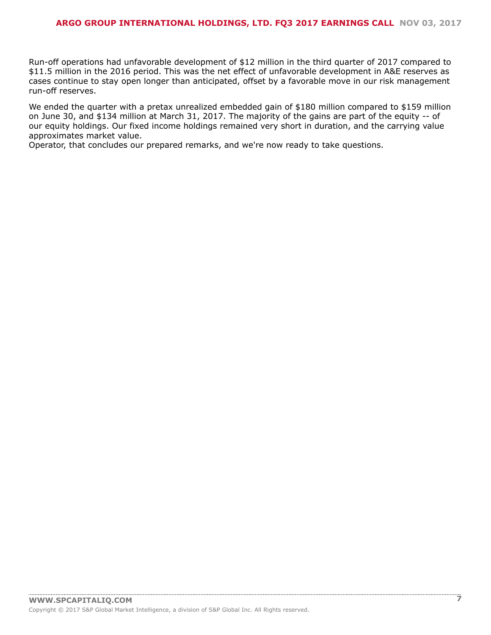#### **ARGO GROUP INTERNATIONAL HOLDINGS, LTD. FQ3 2017 EARNINGS CALL NOV 03, 2017**

Run-off operations had unfavorable development of \$12 million in the third quarter of 2017 compared to \$11.5 million in the 2016 period. This was the net effect of unfavorable development in A&E reserves as cases continue to stay open longer than anticipated, offset by a favorable move in our risk management run-off reserves.

We ended the quarter with a pretax unrealized embedded gain of \$180 million compared to \$159 million on June 30, and \$134 million at March 31, 2017. The majority of the gains are part of the equity -- of our equity holdings. Our fixed income holdings remained very short in duration, and the carrying value approximates market value.

Operator, that concludes our prepared remarks, and we're now ready to take questions.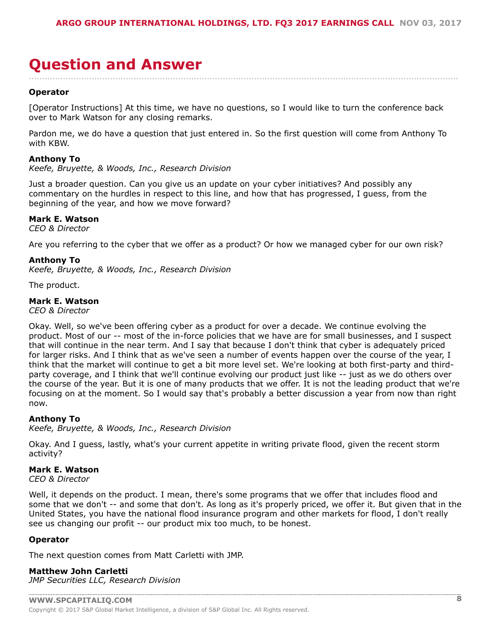### <span id="page-7-0"></span>**Question and Answer** ....................................................................................................................................................................

#### **Operator**

[Operator Instructions] At this time, we have no questions, so I would like to turn the conference back over to Mark Watson for any closing remarks.

Pardon me, we do have a question that just entered in. So the first question will come from Anthony To with KBW.

#### **Anthony To**

*Keefe, Bruyette, & Woods, Inc., Research Division*

Just a broader question. Can you give us an update on your cyber initiatives? And possibly any commentary on the hurdles in respect to this line, and how that has progressed, I guess, from the beginning of the year, and how we move forward?

#### **Mark E. Watson**

*CEO & Director*

Are you referring to the cyber that we offer as a product? Or how we managed cyber for our own risk?

#### **Anthony To**

*Keefe, Bruyette, & Woods, Inc., Research Division*

The product.

#### **Mark E. Watson**

*CEO & Director*

Okay. Well, so we've been offering cyber as a product for over a decade. We continue evolving the product. Most of our -- most of the in-force policies that we have are for small businesses, and I suspect that will continue in the near term. And I say that because I don't think that cyber is adequately priced for larger risks. And I think that as we've seen a number of events happen over the course of the year, I think that the market will continue to get a bit more level set. We're looking at both first-party and thirdparty coverage, and I think that we'll continue evolving our product just like -- just as we do others over the course of the year. But it is one of many products that we offer. It is not the leading product that we're focusing on at the moment. So I would say that's probably a better discussion a year from now than right now.

#### **Anthony To**

*Keefe, Bruyette, & Woods, Inc., Research Division*

Okay. And I guess, lastly, what's your current appetite in writing private flood, given the recent storm activity?

#### **Mark E. Watson**

*CEO & Director*

Well, it depends on the product. I mean, there's some programs that we offer that includes flood and some that we don't -- and some that don't. As long as it's properly priced, we offer it. But given that in the United States, you have the national flood insurance program and other markets for flood, I don't really see us changing our profit -- our product mix too much, to be honest.

#### **Operator**

The next question comes from Matt Carletti with JMP.

**Matthew John Carletti** *JMP Securities LLC, Research Division*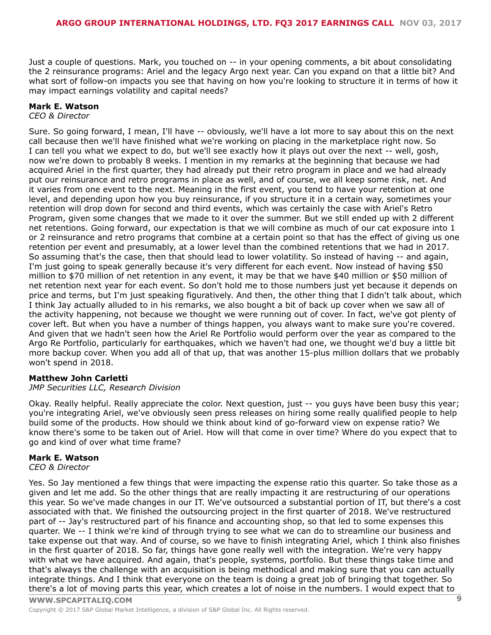Just a couple of questions. Mark, you touched on -- in your opening comments, a bit about consolidating the 2 reinsurance programs: Ariel and the legacy Argo next year. Can you expand on that a little bit? And what sort of follow-on impacts you see that having on how you're looking to structure it in terms of how it may impact earnings volatility and capital needs?

#### **Mark E. Watson**

#### *CEO & Director*

Sure. So going forward, I mean, I'll have -- obviously, we'll have a lot more to say about this on the next call because then we'll have finished what we're working on placing in the marketplace right now. So I can tell you what we expect to do, but we'll see exactly how it plays out over the next -- well, gosh, now we're down to probably 8 weeks. I mention in my remarks at the beginning that because we had acquired Ariel in the first quarter, they had already put their retro program in place and we had already put our reinsurance and retro programs in place as well, and of course, we all keep some risk, net. And it varies from one event to the next. Meaning in the first event, you tend to have your retention at one level, and depending upon how you buy reinsurance, if you structure it in a certain way, sometimes your retention will drop down for second and third events, which was certainly the case with Ariel's Retro Program, given some changes that we made to it over the summer. But we still ended up with 2 different net retentions. Going forward, our expectation is that we will combine as much of our cat exposure into 1 or 2 reinsurance and retro programs that combine at a certain point so that has the effect of giving us one retention per event and presumably, at a lower level than the combined retentions that we had in 2017. So assuming that's the case, then that should lead to lower volatility. So instead of having -- and again, I'm just going to speak generally because it's very different for each event. Now instead of having \$50 million to \$70 million of net retention in any event, it may be that we have \$40 million or \$50 million of net retention next year for each event. So don't hold me to those numbers just yet because it depends on price and terms, but I'm just speaking figuratively. And then, the other thing that I didn't talk about, which I think Jay actually alluded to in his remarks, we also bought a bit of back up cover when we saw all of the activity happening, not because we thought we were running out of cover. In fact, we've got plenty of cover left. But when you have a number of things happen, you always want to make sure you're covered. And given that we hadn't seen how the Ariel Re Portfolio would perform over the year as compared to the Argo Re Portfolio, particularly for earthquakes, which we haven't had one, we thought we'd buy a little bit more backup cover. When you add all of that up, that was another 15-plus million dollars that we probably won't spend in 2018.

#### **Matthew John Carletti**

#### *JMP Securities LLC, Research Division*

Okay. Really helpful. Really appreciate the color. Next question, just -- you guys have been busy this year; you're integrating Ariel, we've obviously seen press releases on hiring some really qualified people to help build some of the products. How should we think about kind of go-forward view on expense ratio? We know there's some to be taken out of Ariel. How will that come in over time? Where do you expect that to go and kind of over what time frame?

#### **Mark E. Watson**

*CEO & Director*

**WWW.SPCAPITALIQ.COM 9** Yes. So Jay mentioned a few things that were impacting the expense ratio this quarter. So take those as a given and let me add. So the other things that are really impacting it are restructuring of our operations this year. So we've made changes in our IT. We've outsourced a substantial portion of IT, but there's a cost associated with that. We finished the outsourcing project in the first quarter of 2018. We've restructured part of -- Jay's restructured part of his finance and accounting shop, so that led to some expenses this quarter. We -- I think we're kind of through trying to see what we can do to streamline our business and take expense out that way. And of course, so we have to finish integrating Ariel, which I think also finishes in the first quarter of 2018. So far, things have gone really well with the integration. We're very happy with what we have acquired. And again, that's people, systems, portfolio. But these things take time and that's always the challenge with an acquisition is being methodical and making sure that you can actually integrate things. And I think that everyone on the team is doing a great job of bringing that together. So there's a lot of [moving](www.capitaliq.com) parts this year, which creates a lot of noise in the numbers. I would expect that to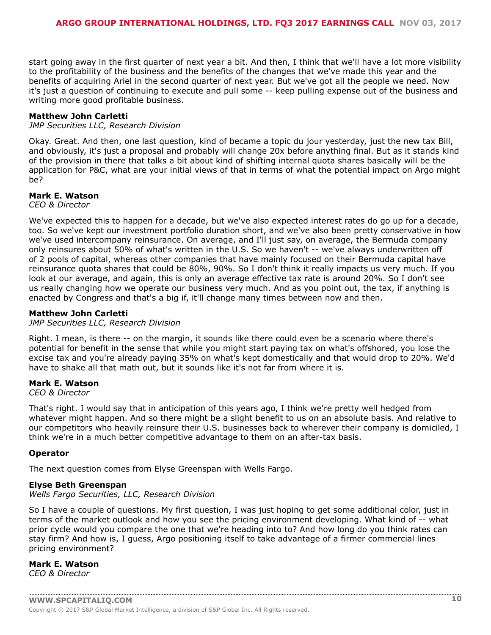start going away in the first quarter of next year a bit. And then, I think that we'll have a lot more visibility to the profitability of the business and the benefits of the changes that we've made this year and the benefits of acquiring Ariel in the second quarter of next year. But we've got all the people we need. Now it's just a question of continuing to execute and pull some -- keep pulling expense out of the business and writing more good profitable business.

#### **Matthew John Carletti**

*JMP Securities LLC, Research Division*

Okay. Great. And then, one last question, kind of became a topic du jour yesterday, just the new tax Bill, and obviously, it's just a proposal and probably will change 20x before anything final. But as it stands kind of the provision in there that talks a bit about kind of shifting internal quota shares basically will be the application for P&C, what are your initial views of that in terms of what the potential impact on Argo might be?

#### **Mark E. Watson**

*CEO & Director*

We've expected this to happen for a decade, but we've also expected interest rates do go up for a decade, too. So we've kept our investment portfolio duration short, and we've also been pretty conservative in how we've used intercompany reinsurance. On average, and I'll just say, on average, the Bermuda company only reinsures about 50% of what's written in the U.S. So we haven't -- we've always underwritten off of 2 pools of capital, whereas other companies that have mainly focused on their Bermuda capital have reinsurance quota shares that could be 80%, 90%. So I don't think it really impacts us very much. If you look at our average, and again, this is only an average effective tax rate is around 20%. So I don't see us really changing how we operate our business very much. And as you point out, the tax, if anything is enacted by Congress and that's a big if, it'll change many times between now and then.

#### **Matthew John Carletti**

#### *JMP Securities LLC, Research Division*

Right. I mean, is there -- on the margin, it sounds like there could even be a scenario where there's potential for benefit in the sense that while you might start paying tax on what's offshored, you lose the excise tax and you're already paying 35% on what's kept domestically and that would drop to 20%. We'd have to shake all that math out, but it sounds like it's not far from where it is.

#### **Mark E. Watson**

*CEO & Director*

That's right. I would say that in anticipation of this years ago, I think we're pretty well hedged from whatever might happen. And so there might be a slight benefit to us on an absolute basis. And relative to our competitors who heavily reinsure their U.S. businesses back to wherever their company is domiciled, I think we're in a much better competitive advantage to them on an after-tax basis.

#### **Operator**

The next question comes from Elyse Greenspan with Wells Fargo.

#### **Elyse Beth Greenspan**

#### *Wells Fargo Securities, LLC, Research Division*

So I have a couple of questions. My first question, I was just hoping to get some additional color, just in terms of the market outlook and how you see the pricing environment developing. What kind of -- what prior cycle would you compare the one that we're heading into to? And how long do you think rates can stay firm? And how is, I guess, Argo positioning itself to take advantage of a firmer commercial lines pricing environment?

#### **Mark E. Watson**

*CEO & Director*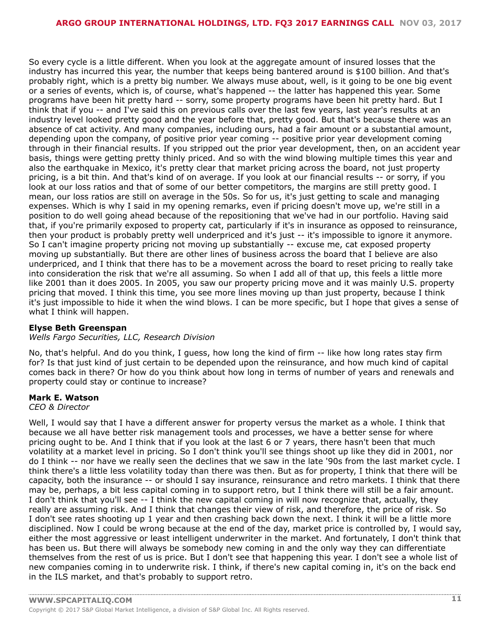So every cycle is a little different. When you look at the aggregate amount of insured losses that the industry has incurred this year, the number that keeps being bantered around is \$100 billion. And that's probably right, which is a pretty big number. We always muse about, well, is it going to be one big event or a series of events, which is, of course, what's happened -- the latter has happened this year. Some programs have been hit pretty hard -- sorry, some property programs have been hit pretty hard. But I think that if you -- and I've said this on previous calls over the last few years, last year's results at an industry level looked pretty good and the year before that, pretty good. But that's because there was an absence of cat activity. And many companies, including ours, had a fair amount or a substantial amount, depending upon the company, of positive prior year coming -- positive prior year development coming through in their financial results. If you stripped out the prior year development, then, on an accident year basis, things were getting pretty thinly priced. And so with the wind blowing multiple times this year and also the earthquake in Mexico, it's pretty clear that market pricing across the board, not just property pricing, is a bit thin. And that's kind of on average. If you look at our financial results -- or sorry, if you look at our loss ratios and that of some of our better competitors, the margins are still pretty good. I mean, our loss ratios are still on average in the 50s. So for us, it's just getting to scale and managing expenses. Which is why I said in my opening remarks, even if pricing doesn't move up, we're still in a position to do well going ahead because of the repositioning that we've had in our portfolio. Having said that, if you're primarily exposed to property cat, particularly if it's in insurance as opposed to reinsurance, then your product is probably pretty well underpriced and it's just -- it's impossible to ignore it anymore. So I can't imagine property pricing not moving up substantially -- excuse me, cat exposed property moving up substantially. But there are other lines of business across the board that I believe are also underpriced, and I think that there has to be a movement across the board to reset pricing to really take into consideration the risk that we're all assuming. So when I add all of that up, this feels a little more like 2001 than it does 2005. In 2005, you saw our property pricing move and it was mainly U.S. property pricing that moved. I think this time, you see more lines moving up than just property, because I think it's just impossible to hide it when the wind blows. I can be more specific, but I hope that gives a sense of what I think will happen.

#### **Elyse Beth Greenspan**

#### *Wells Fargo Securities, LLC, Research Division*

No, that's helpful. And do you think, I guess, how long the kind of firm -- like how long rates stay firm for? Is that just kind of just certain to be depended upon the reinsurance, and how much kind of capital comes back in there? Or how do you think about how long in terms of number of years and renewals and property could stay or continue to increase?

#### **Mark E. Watson**

#### *CEO & Director*

Well, I would say that I have a different answer for property versus the market as a whole. I think that because we all have better risk management tools and processes, we have a better sense for where pricing ought to be. And I think that if you look at the last 6 or 7 years, there hasn't been that much volatility at a market level in pricing. So I don't think you'll see things shoot up like they did in 2001, nor do I think -- nor have we really seen the declines that we saw in the late '90s from the last market cycle. I think there's a little less volatility today than there was then. But as for property, I think that there will be capacity, both the insurance -- or should I say insurance, reinsurance and retro markets. I think that there may be, perhaps, a bit less capital coming in to support retro, but I think there will still be a fair amount. I don't think that you'll see -- I think the new capital coming in will now recognize that, actually, they really are assuming risk. And I think that changes their view of risk, and therefore, the price of risk. So I don't see rates shooting up 1 year and then crashing back down the next. I think it will be a little more disciplined. Now I could be wrong because at the end of the day, market price is controlled by, I would say, either the most aggressive or least intelligent underwriter in the market. And fortunately, I don't think that has been us. But there will always be somebody new coming in and the only way they can differentiate themselves from the rest of us is price. But I don't see that happening this year. I don't see a whole list of new companies coming in to underwrite risk. I think, if there's new capital coming in, it's on the back end in the ILS market, and that's probably to support retro.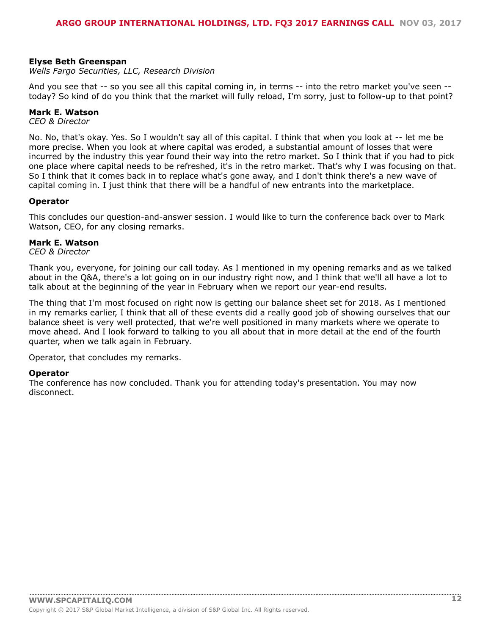#### **Elyse Beth Greenspan**

*Wells Fargo Securities, LLC, Research Division*

And you see that -- so you see all this capital coming in, in terms -- into the retro market you've seen - today? So kind of do you think that the market will fully reload, I'm sorry, just to follow-up to that point?

#### **Mark E. Watson**

*CEO & Director*

No. No, that's okay. Yes. So I wouldn't say all of this capital. I think that when you look at -- let me be more precise. When you look at where capital was eroded, a substantial amount of losses that were incurred by the industry this year found their way into the retro market. So I think that if you had to pick one place where capital needs to be refreshed, it's in the retro market. That's why I was focusing on that. So I think that it comes back in to replace what's gone away, and I don't think there's a new wave of capital coming in. I just think that there will be a handful of new entrants into the marketplace.

#### **Operator**

This concludes our question-and-answer session. I would like to turn the conference back over to Mark Watson, CEO, for any closing remarks.

#### **Mark E. Watson**

*CEO & Director*

Thank you, everyone, for joining our call today. As I mentioned in my opening remarks and as we talked about in the Q&A, there's a lot going on in our industry right now, and I think that we'll all have a lot to talk about at the beginning of the year in February when we report our year-end results.

The thing that I'm most focused on right now is getting our balance sheet set for 2018. As I mentioned in my remarks earlier, I think that all of these events did a really good job of showing ourselves that our balance sheet is very well protected, that we're well positioned in many markets where we operate to move ahead. And I look forward to talking to you all about that in more detail at the end of the fourth quarter, when we talk again in February.

Operator, that concludes my remarks.

#### **Operator**

The conference has now concluded. Thank you for attending today's presentation. You may now disconnect.